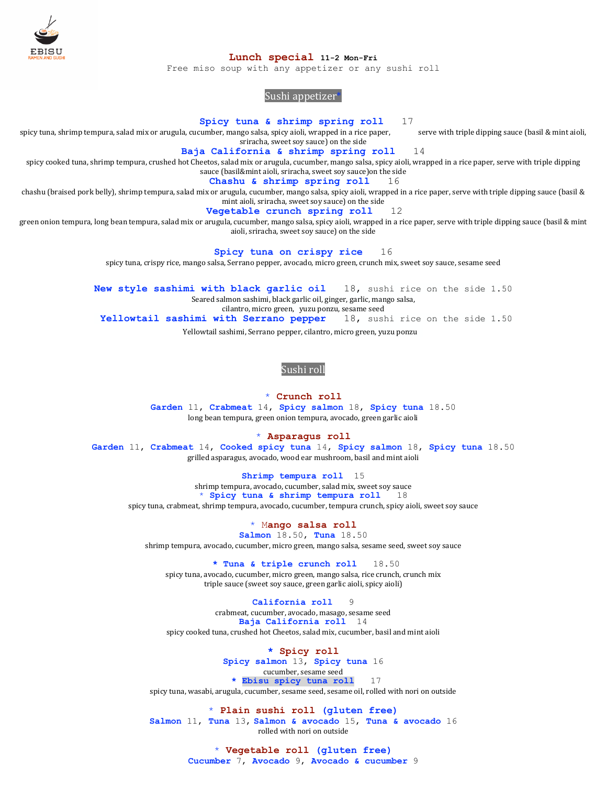

#### **Lunch special 11-2 Mon-Fri**

Free miso soup with any appetizer or any sushi roll

# Sushi appetizer\*

**Spicy tuna & shrimp spring roll** 17

spicy tuna, shrimp tempura, salad mix or arugula, cucumber, mango salsa, spicy aioli, wrapped in a rice paper, serve with triple dipping sauce (basil & mint aioli, sriracha, sweet soy sauce) on the side

**Baja California & shrimp spring roll** 14

spicy cooked tuna, shrimp tempura, crushed hot Cheetos, salad mix or arugula, cucumber, mango salsa, spicy aioli, wrapped in a rice paper, serve with triple dipping sauce (basil&mint aioli, sriracha, sweet soy sauce)on the side

**Chashu & shrimp spring roll** 16

chashu (braised pork belly), shrimp tempura, salad mix or arugula, cucumber, mango salsa, spicy aioli, wrapped in a rice paper, serve with triple dipping sauce (basil & mint aioli, sriracha, sweet soy sauce) on the side

**Vegetable crunch spring roll** 12

green onion tempura, long bean tempura, salad mix or arugula, cucumber, mango salsa, spicy aioli, wrapped in a rice paper, serve with triple dipping sauce (basil & mint aioli, sriracha, sweet soy sauce) on the side

**Spicy tuna on crispy rice** 16

spicy tuna, crispy rice, mango salsa, Serrano pepper, avocado, micro green, crunch mix, sweet soy sauce, sesame seed

**New style sashimi with black garlic oil** 18, sushi rice on the side 1.50 Seared salmon sashimi, black garlic oil, ginger, garlic, mango salsa,

cilantro, micro green, yuzu ponzu, sesame seed

**Yellowtail sashimi with Serrano pepper** 18, sushi rice on the side 1.50

Yellowtail sashimi, Serrano pepper, cilantro, micro green, yuzu ponzu5

#### Sushi roll

\* **Crunch roll Garden** 11, **Crabmeat** 14, **Spicy salmon** 18, **Spicy tuna** 18.50 long bean tempura, green onion tempura, avocado, green garlic aioli

\* **Asparagus roll**

**Garden** 11, **Crabmeat** 14, **Cooked spicy tuna** 14, **Spicy salmon** 18, **Spicy tuna** 18.50 grilled asparagus, avocado, wood ear mushroom, basil and mint aioli

**Shrimp tempura roll** 15 shrimp tempura, avocado, cucumber, salad mix, sweet soy sauce<br>  $\frac{\ast}{\sqrt{5}}$  Spicy tuna & shrimp tempura roll 18 \* **Spicy tuna & shrimp tempura roll** 18 spicy tuna, crabmeat, shrimp tempura, avocado, cucumber, tempura crunch, spicy aioli, sweet soy sauce

\* M**ango salsa roll**

**Salmon** 18.50, **Tuna** 18.50 shrimp tempura, avocado, cucumber, micro green, mango salsa, sesame seed, sweet soy sauce

**\* Tuna & triple crunch roll** 18.50

spicy tuna, avocado, cucumber, micro green, mango salsa, rice crunch, crunch mix triple sauce (sweet soy sauce, green garlic aioli, spicy aioli)

**California roll** 9

crabmeat, cucumber, avocado, masago, sesame seed **Baja California roll** 14 spicy cooked tuna, crushed hot Cheetos, salad mix, cucumber, basil and mint aioli

**\* Spicy roll**

**Spicy salmon** 13, **Spicy tuna** 16 cucumber, sesame seed **\* Ebisu spicy tuna roll** 17

spicy tuna, wasabi, arugula, cucumber, sesame seed, sesame oil, rolled with nori on outside

\* **Plain sushi roll (gluten free) Salmon** 11, **Tuna** 13, **Salmon & avocado** 15, **Tuna & avocado** 16 rolled with nori on outside

> \* **Vegetable roll (gluten free) Cucumber** 7, **Avocado** 9, **Avocado & cucumber** 9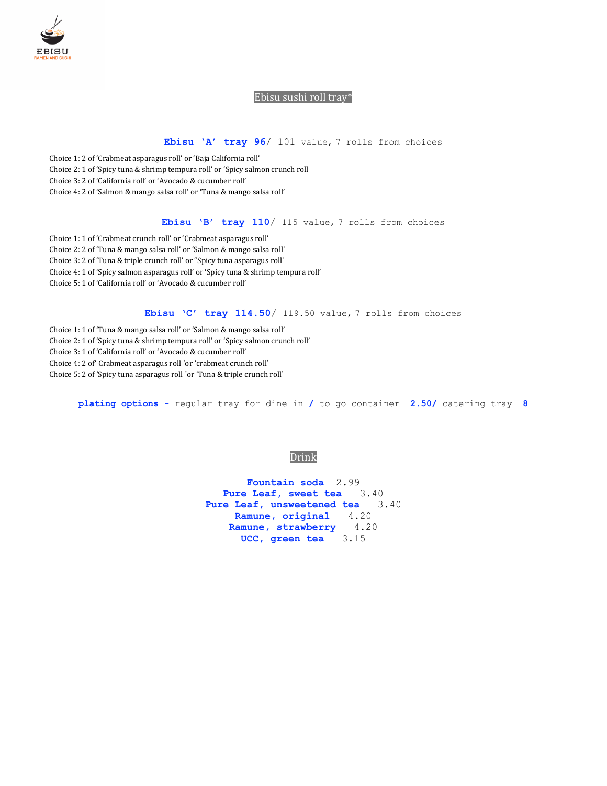

### Ebisu sushi roll tray\*

## **Ebisu 'A' tray 96**/ 101 value, 7 rolls from choices

 Choice 1: 2 of 'Crabmeat asparagus roll' or 'Baja California roll' Choice 2: 1 of 'Spicy tuna & shrimp tempura roll' or 'Spicy salmon crunch roll Choice 3: 2 of 'California roll' or 'Avocado & cucumber roll' Choice 4: 2 of 'Salmon & mango salsa roll' or 'Tuna & mango salsa roll'

**Ebisu 'B' tray 110**/ 115 value, 7 rolls from choices

 Choice 1: 1 of 'Crabmeat crunch roll' or 'Crabmeat asparagus roll' Choice 2: 2 of 'Tuna & mango salsa roll' or 'Salmon & mango salsa roll' Choice 3: 2 of 'Tuna & triple crunch roll' or "Spicy tuna asparagus roll' Choice 4: 1 of 'Spicy salmon asparagus roll' or 'Spicy tuna & shrimp tempura roll' Choice 5: 1 of 'California roll' or 'Avocado & cucumber roll'

**Ebisu 'C' tray 114.50**/ 119.50 value, 7 rolls from choices

Choice 1: 1 of 'Tuna & mango salsa roll' or 'Salmon & mango salsa roll'

Choice 2: 1 of 'Spicy tuna & shrimp tempura roll' or 'Spicy salmon crunch roll'

- Choice 3: 1 of 'California roll' or 'Avocado & cucumber roll'
- Choice 4: 2 of' Crabmeat asparagus roll 'or 'crabmeat crunch roll'

Choice 5: 2 of 'Spicy tuna asparagus roll 'or 'Tuna & triple crunch roll'

**plating options -** regular tray for dine in **/** to go container **2.50/** catering tray **8**

### Drink

**Fountain soda** 2.99 **Pure Leaf, sweet tea** 3.40 **Pure Leaf, unsweetened tea** 3.40 **Ramune, original** 4.20 **Ramune, strawberry** 4.20 **UCC, green tea** 3.15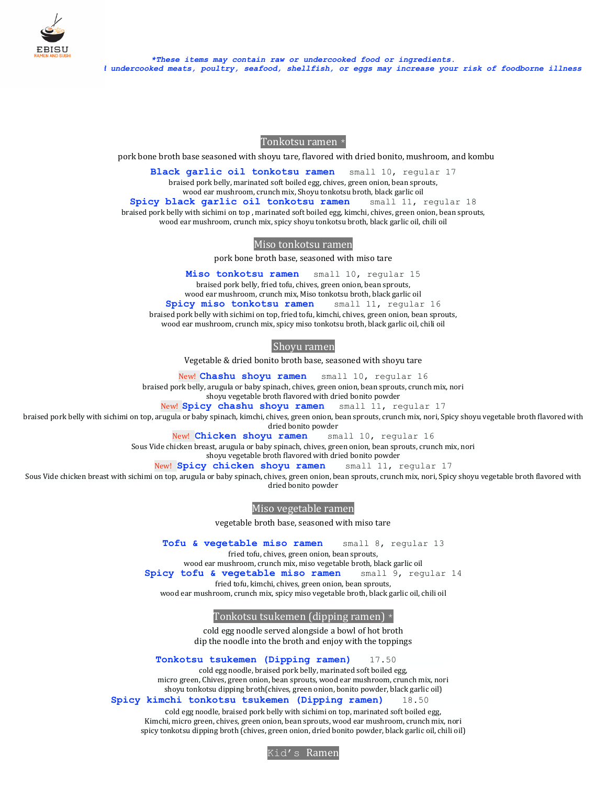

Tonkotsu ramen \*

pork bone broth base seasoned with shoyu tare, flavored with dried bonito, mushroom, and kombu

**Black garlic oil tonkotsu ramen** small 10, regular 17 braised pork belly, marinated soft boiled egg, chives, green onion, bean sprouts, wood ear mushroom, crunch mix, Shoyu tonkotsu broth, black garlic oil **Spicy black garlic oil tonkotsu ramen** small 11, regular 18 braised pork belly with sichimi on top , marinated soft boiled egg, kimchi, chives, green onion, bean sprouts, wood ear mushroom, crunch mix, spicy shoyu tonkotsu broth, black garlic oil, chili oil

Miso tonkotsu ramen

pork bone broth base, seasoned with miso tare

**Miso tonkotsu ramen** small 10, regular 15 braised pork belly, fried tofu, chives, green onion, bean sprouts, wood ear mushroom, crunch mix, Miso tonkotsu broth, black garlic oil **Spicy miso tonkotsu ramen** small 11, regular 16 braised pork belly with sichimi on top, fried tofu, kimchi, chives, green onion, bean sprouts, wood ear mushroom, crunch mix, spicy miso tonkotsu broth, black garlic oil, chili oil

### Shoyu ramen

Vegetable & dried bonito broth base, seasoned with shoyu tare

New! **Chashu shoyu ramen** small 10, regular 16

braised pork belly, arugula or baby spinach, chives, green onion, bean sprouts, crunch mix, nori

shoyu vegetable broth flavored with dried bonito powder

New! **Spicy chashu shoyu ramen** small 11, regular 17

braised pork belly with sichimi on top, arugula or baby spinach, kimchi, chives, green onion, bean sprouts, crunch mix, nori, Spicy shoyu vegetable broth flavored with dried bonito powder

New! **Chicken shoyu ramen** small 10, regular 16

Sous Vide chicken breast, arugula or baby spinach, chives, green onion, bean sprouts, crunch mix, nori

shoyu vegetable broth flavored with dried bonito powder

New! **Spicy chicken shoyu ramen** small 11, regular 17

Sous Vide chicken breast with sichimi on top, arugula or baby spinach, chives, green onion, bean sprouts, crunch mix, nori, Spicy shoyu vegetable broth flavored with dried bonito powder

Miso vegetable ramen

vegetable broth base, seasoned with miso tare

**Tofu & vegetable miso ramen** small 8, regular 13

fried tofu, chives, green onion, bean sprouts,

wood ear mushroom, crunch mix, miso vegetable broth, black garlic oil

**Spicy tofu & vegetable miso ramen** small 9, regular 14

fried tofu, kimchi, chives, green onion, bean sprouts,

wood ear mushroom, crunch mix, spicy miso vegetable broth, black garlic oil, chili oil

Tonkotsu tsukemen (dipping ramen) \*

cold egg noodle served alongside a bowl of hot broth dip the noodle into the broth and enjoy with the toppings

**Tonkotsu tsukemen (Dipping ramen) 17.50** 

cold egg noodle, braised pork belly, marinated soft boiled egg, micro green, Chives, green onion, bean sprouts, wood ear mushroom, crunch mix, nori shoyu tonkotsu dipping broth(chives, green onion, bonito powder, black garlic oil)

### **Spicy kimchi tonkotsu tsukemen (Dipping ramen) 18.50**

cold egg noodle, braised pork belly with sichimi on top, marinated soft boiled egg, Kimchi, micro green, chives, green onion, bean sprouts, wood ear mushroom, crunch mix, nori spicy tonkotsu dipping broth (chives, green onion, dried bonito powder, black garlic oil, chili oil)

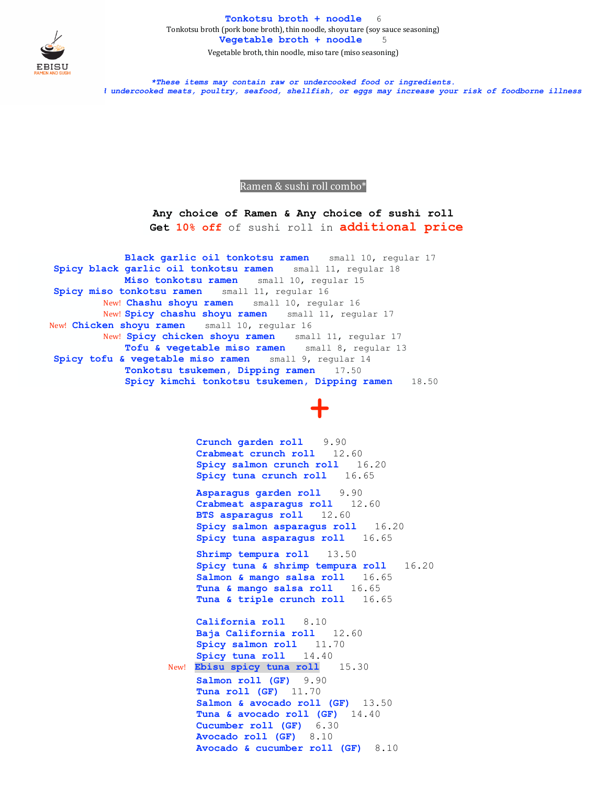

**Tonkotsu broth + noodle** 6 Tonkotsu broth (pork bone broth), thin noodle, shoyu tare (soy sauce seasoning) **Vegetable broth + noodle** 5 Vegetable broth, thin noodle, miso tare (miso seasoning)

*\*These items may contain raw or undercooked food or ingredients.* i undercooked meats, poultry, seafood, shellfish, or eggs may increase your risk of foodborne illness

Ramen & sushi roll combo\*

**Any choice of Ramen & Any choice of sushi roll Get 10% off** of sushi roll in **additional price**

 **Black garlic oil tonkotsu ramen** small 10, regular 17 **Spicy black garlic oil tonkotsu ramen** small 11, regular 18 **Miso tonkotsu ramen** small 10, regular 15 **Spicy miso tonkotsu ramen** small 11, regular 16 New! **Chashu shoyu ramen** small 10, regular 16 New! **Spicy chashu shoyu ramen** small 11, regular 17 New! **Chicken shoyu ramen** small 10, regular 16 New! **Spicy chicken shoyu ramen** small 11, regular 17 **Tofu & vegetable miso ramen** small 8, regular 13 **Spicy tofu & vegetable miso ramen** small 9, regular 14 **Tonkotsu tsukemen, Dipping ramen** 17.50 **Spicy kimchi tonkotsu tsukemen, Dipping ramen** 18.50

**+**

**Crunch garden roll** 9.90 **Crabmeat crunch roll** 12.60 **Spicy salmon crunch roll** 16.20 **Spicy tuna crunch roll** 16.65

 **Asparagus garden roll** 9.90 **Crabmeat asparagus roll** 12.60 **BTS asparagus roll** 12.60 **Spicy salmon asparagus roll** 16.20 **Spicy tuna asparagus roll** 16.65

**Shrimp tempura roll** 13.50 **Spicy tuna & shrimp tempura roll** 16.20 **Salmon & mango salsa roll** 16.65 **Tuna & mango salsa roll** 16.65 **Tuna & triple crunch roll** 16.65

**California roll** 8.10 **Baja California roll** 12.60 **Spicy salmon roll** 11.70 **Spicy tuna roll** 14.40 New! **Ebisu spicy tuna roll** 15.30 **Salmon roll (GF)** 9.90 **Tuna roll (GF)** 11.70 **Salmon & avocado roll (GF)** 13.50 **Tuna & avocado roll (GF)** 14.40 **Cucumber roll (GF)** 6.30 **Avocado roll (GF)** 8.10 **Avocado & cucumber roll (GF)** 8.10